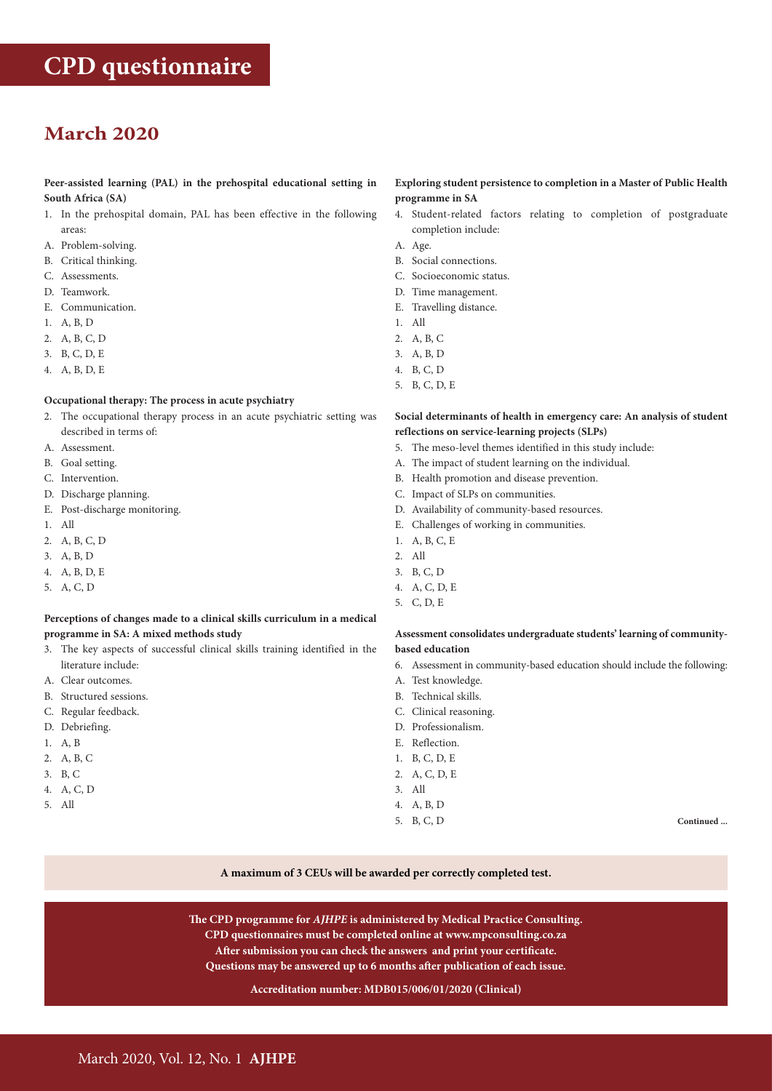# **March 2020**

# **Peer-assisted learning (PAL) in the prehospital educational setting in South Africa (SA)**

- 1. In the prehospital domain, PAL has been effective in the following areas:
- A. Problem-solving.
- B. Critical thinking.
- C. Assessments.
- D. Teamwork.
- E. Communication.
- 1. A, B, D
- 2. A, B, C, D
- 3. B, C, D, E
- 4. A, B, D, E

# **Occupational therapy: The process in acute psychiatry**

- 2. The occupational therapy process in an acute psychiatric setting was described in terms of:
- A. Assessment.
- B. Goal setting.
- C. Intervention.
- D. Discharge planning.
- E. Post-discharge monitoring.
- 1. All
- 2. A, B, C, D
- 3. A, B, D
- 4. A, B, D, E
- 5. A, C, D

#### **Perceptions of changes made to a clinical skills curriculum in a medical programme in SA: A mixed methods study**

- 3. The key aspects of successful clinical skills training identified in the literature include:
- A. Clear outcomes.
- B. Structured sessions.
- C. Regular feedback.
- D. Debriefing.
- 1. A, B
- 2. A, B, C
- 3. B, C
- 4. A, C, D
- 5. All

# **Exploring student persistence to completion in a Master of Public Health programme in SA**

- 4. Student-related factors relating to completion of postgraduate completion include:
- A. Age.
- B. Social connections.
- C. Socioeconomic status.
- D. Time management.
- E. Travelling distance.
- 1. All
- 2. A, B, C
- 3. A, B, D
- 4. B, C, D
- 5. B, C, D, E

# **Social determinants of health in emergency care: An analysis of student reflections on service-learning projects (SLPs)**

- 5. The meso-level themes identified in this study include:
- A. The impact of student learning on the individual.
- B. Health promotion and disease prevention.
- C. Impact of SLPs on communities.
- D. Availability of community-based resources.
- E. Challenges of working in communities.
- 1. A, B, C, E
- 2. All
- 3. B, C, D
- 4. A, C, D, E
- 5. C, D, E

#### **Assessment consolidates undergraduate students' learning of communitybased education**

- 6. Assessment in community-based education should include the following:
- A. Test knowledge.
- B. Technical skills.
- C. Clinical reasoning.
- D. Professionalism.
- E. Reflection.
- 1. B, C, D, E
- 2. A, C, D, E
- 3. All
- 4. A, B, D
- 5. B, C, D **Continued ...**

#### **A maximum of 3 CEUs will be awarded per correctly completed test.**

**The CPD programme for** *AJHPE* **is administered by Medical Practice Consulting. CPD questionnaires must be completed online at www.mpconsulting.co.za After submission you can check the answers and print your certificate. Questions may be answered up to 6 months after publication of each issue.**

# **Accreditation number: MDB015/006/01/2020 (Clinical)**